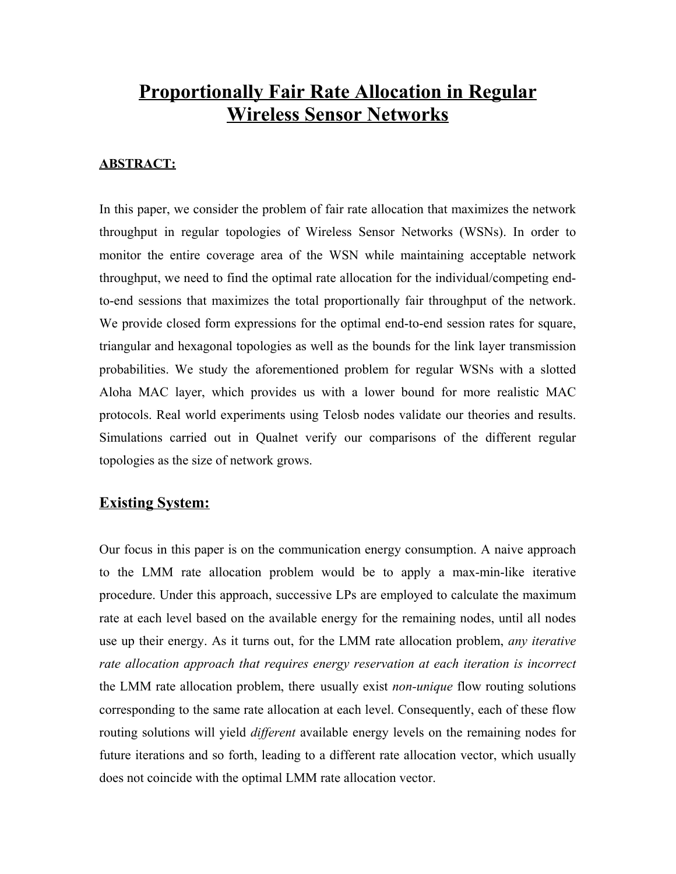# **Proportionally Fair Rate Allocation in Regular Wireless Sensor Networks**

### **ABSTRACT:**

In this paper, we consider the problem of fair rate allocation that maximizes the network throughput in regular topologies of Wireless Sensor Networks (WSNs). In order to monitor the entire coverage area of the WSN while maintaining acceptable network throughput, we need to find the optimal rate allocation for the individual/competing endto-end sessions that maximizes the total proportionally fair throughput of the network. We provide closed form expressions for the optimal end-to-end session rates for square, triangular and hexagonal topologies as well as the bounds for the link layer transmission probabilities. We study the aforementioned problem for regular WSNs with a slotted Aloha MAC layer, which provides us with a lower bound for more realistic MAC protocols. Real world experiments using Telosb nodes validate our theories and results. Simulations carried out in Qualnet verify our comparisons of the different regular topologies as the size of network grows.

## **Existing System:**

Our focus in this paper is on the communication energy consumption. A naive approach to the LMM rate allocation problem would be to apply a max-min-like iterative procedure. Under this approach, successive LPs are employed to calculate the maximum rate at each level based on the available energy for the remaining nodes, until all nodes use up their energy. As it turns out, for the LMM rate allocation problem, *any iterative rate allocation approach that requires energy reservation at each iteration is incorrect* the LMM rate allocation problem, there usually exist *non-unique* flow routing solutions corresponding to the same rate allocation at each level. Consequently, each of these flow routing solutions will yield *different* available energy levels on the remaining nodes for future iterations and so forth, leading to a different rate allocation vector, which usually does not coincide with the optimal LMM rate allocation vector.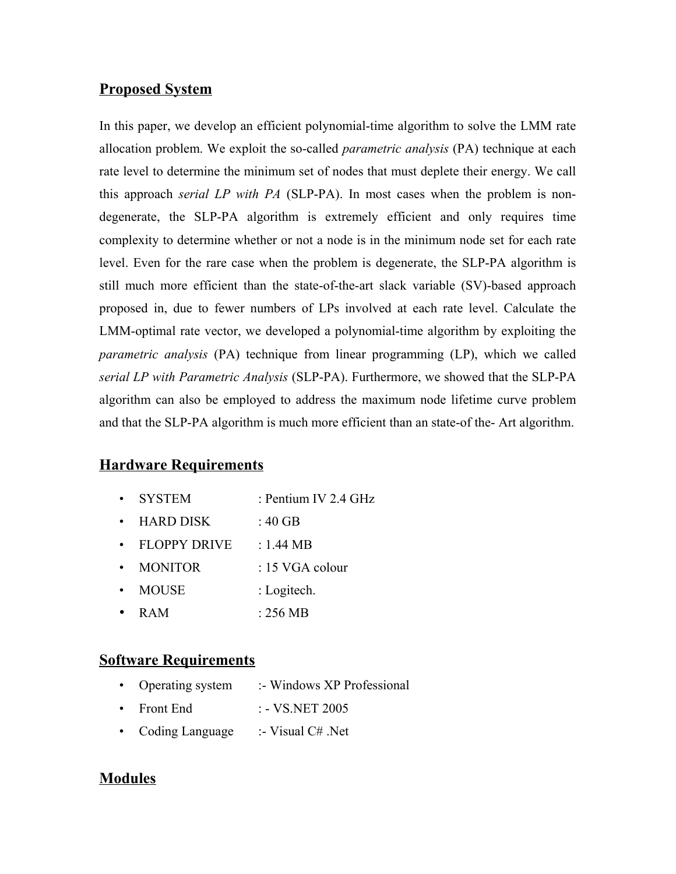## **Proposed System**

In this paper, we develop an efficient polynomial-time algorithm to solve the LMM rate allocation problem. We exploit the so-called *parametric analysis* (PA) technique at each rate level to determine the minimum set of nodes that must deplete their energy. We call this approach *serial LP with PA* (SLP-PA). In most cases when the problem is nondegenerate, the SLP-PA algorithm is extremely efficient and only requires time complexity to determine whether or not a node is in the minimum node set for each rate level. Even for the rare case when the problem is degenerate, the SLP-PA algorithm is still much more efficient than the state-of-the-art slack variable (SV)-based approach proposed in, due to fewer numbers of LPs involved at each rate level. Calculate the LMM-optimal rate vector, we developed a polynomial-time algorithm by exploiting the *parametric analysis* (PA) technique from linear programming (LP), which we called *serial LP with Parametric Analysis* (SLP-PA). Furthermore, we showed that the SLP-PA algorithm can also be employed to address the maximum node lifetime curve problem and that the SLP-PA algorithm is much more efficient than an state-of the- Art algorithm.

# **Hardware Requirements**

- SYSTEM : Pentium IV 2.4 GHz
- $\cdot$  HARD DISK : 40 GB
- $\cdot$  FLOPPY DRIVE : 1.44 MB
- MONITOR : 15 VGA colour
- MOUSE : Logitech.
- RAM : 256 MB

# **Software Requirements**

- Operating system :- Windows XP Professional
- Front End  $: -VS \text{.NET } 2005$
- Coding Language :- Visual C# .Net

# **Modules**